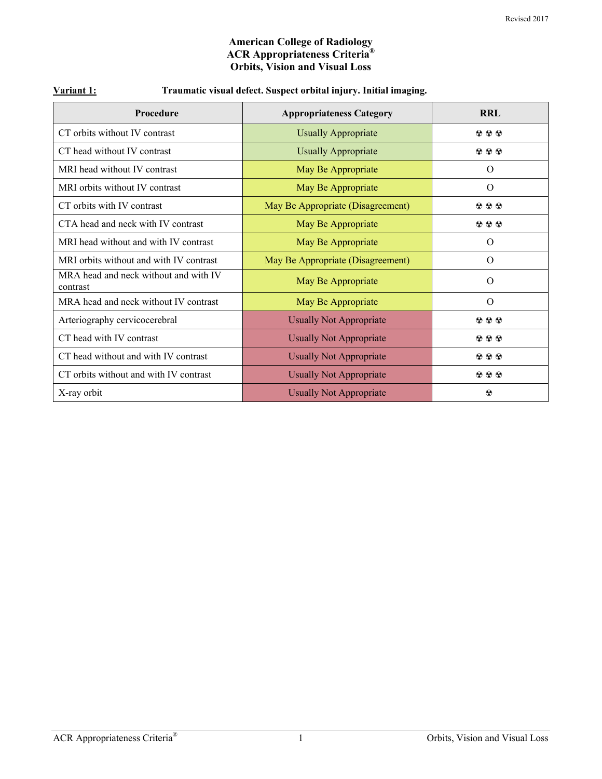#### **American College of Radiology ACR Appropriateness Criteria® Orbits, Vision and Visual Loss**

| <b>Procedure</b>                                  | <b>Appropriateness Category</b>   | <b>RRL</b>                                |
|---------------------------------------------------|-----------------------------------|-------------------------------------------|
| CT orbits without IV contrast                     | <b>Usually Appropriate</b>        | $\circledcirc \circledcirc$               |
| CT head without IV contrast                       | <b>Usually Appropriate</b>        | $\circledcirc \circledcirc$               |
| MRI head without IV contrast                      | May Be Appropriate                | $\Omega$                                  |
| MRI orbits without IV contrast                    | May Be Appropriate                | $\Omega$                                  |
| CT orbits with IV contrast                        | May Be Appropriate (Disagreement) | $\circledcirc \circledcirc$               |
| CTA head and neck with IV contrast                | May Be Appropriate                | $\circledcirc \circledcirc$               |
| MRI head without and with IV contrast             | May Be Appropriate                | $\Omega$                                  |
| MRI orbits without and with IV contrast           | May Be Appropriate (Disagreement) | $\Omega$                                  |
| MRA head and neck without and with IV<br>contrast | May Be Appropriate                | $\Omega$                                  |
| MRA head and neck without IV contrast             | May Be Appropriate                | $\Omega$                                  |
| Arteriography cervicocerebral                     | <b>Usually Not Appropriate</b>    | $\mathbf{\Omega} \otimes \mathbf{\Omega}$ |
| CT head with IV contrast                          | <b>Usually Not Appropriate</b>    | $\circledcirc \circledcirc$               |
| CT head without and with IV contrast              | <b>Usually Not Appropriate</b>    | $\circledcirc \circledcirc$               |
| CT orbits without and with IV contrast            | <b>Usually Not Appropriate</b>    | $\circledcirc \circledcirc$               |
| X-ray orbit                                       | <b>Usually Not Appropriate</b>    | $\odot$                                   |

### **Variant 1: Traumatic visual defect. Suspect orbital injury. Initial imaging.**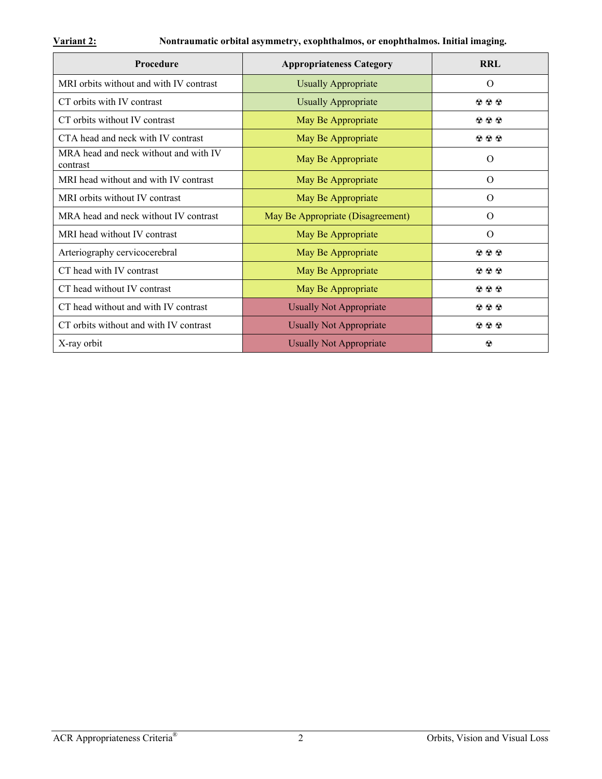## **Variant 2: Nontraumatic orbital asymmetry, exophthalmos, or enophthalmos. Initial imaging.**

| <b>Procedure</b>                                  | <b>Appropriateness Category</b>   | <b>RRL</b>   |
|---------------------------------------------------|-----------------------------------|--------------|
| MRI orbits without and with IV contrast           | <b>Usually Appropriate</b>        | $\Omega$     |
| CT orbits with IV contrast                        | <b>Usually Appropriate</b>        | 200          |
| CT orbits without IV contrast                     | May Be Appropriate                | 200          |
| CTA head and neck with IV contrast                | May Be Appropriate                | 200          |
| MRA head and neck without and with IV<br>contrast | May Be Appropriate                | $\Omega$     |
| MRI head without and with IV contrast             | May Be Appropriate                | $\Omega$     |
| MRI orbits without IV contrast                    | May Be Appropriate                | $\Omega$     |
| MRA head and neck without IV contrast             | May Be Appropriate (Disagreement) | $\Omega$     |
| MRI head without IV contrast                      | May Be Appropriate                | $\Omega$     |
| Arteriography cervicocerebral                     | May Be Appropriate                | 200          |
| CT head with IV contrast                          | May Be Appropriate                | 200          |
| CT head without IV contrast                       | May Be Appropriate                | 200          |
| CT head without and with IV contrast              | <b>Usually Not Appropriate</b>    | 200          |
| CT orbits without and with IV contrast            | <b>Usually Not Appropriate</b>    | 200          |
| X-ray orbit                                       | <b>Usually Not Appropriate</b>    | $^\circledR$ |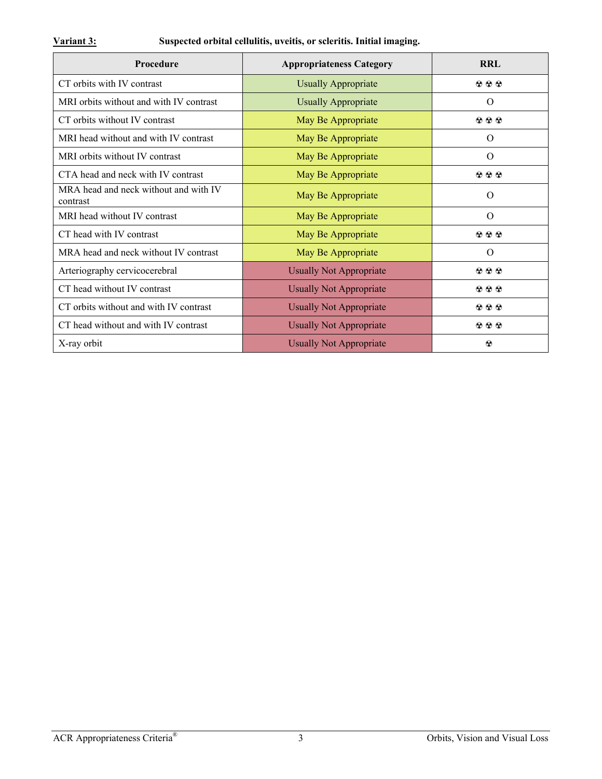## **Variant 3: Suspected orbital cellulitis, uveitis, or scleritis. Initial imaging.**

| Procedure                                         | <b>Appropriateness Category</b> | <b>RRL</b>                               |
|---------------------------------------------------|---------------------------------|------------------------------------------|
| CT orbits with IV contrast                        | <b>Usually Appropriate</b>      | $\mathfrak{D} \mathfrak{D} \mathfrak{D}$ |
| MRI orbits without and with IV contrast           | <b>Usually Appropriate</b>      | $\Omega$                                 |
| CT orbits without IV contrast                     | May Be Appropriate              | $\circledcirc \circledcirc$              |
| MRI head without and with IV contrast             | May Be Appropriate              | O                                        |
| MRI orbits without IV contrast                    | May Be Appropriate              | $\Omega$                                 |
| CTA head and neck with IV contrast                | May Be Appropriate              | $\circledcirc \circledcirc$              |
| MRA head and neck without and with IV<br>contrast | May Be Appropriate              | $\Omega$                                 |
| MRI head without IV contrast                      | May Be Appropriate              | $\Omega$                                 |
| CT head with IV contrast                          | May Be Appropriate              | $\circledcirc \circledcirc$              |
| MRA head and neck without IV contrast             | May Be Appropriate              | $\Omega$                                 |
| Arteriography cervicocerebral                     | <b>Usually Not Appropriate</b>  | $\circledcirc \circledcirc$              |
| CT head without IV contrast                       | <b>Usually Not Appropriate</b>  | $\mathfrak{D} \mathfrak{D} \mathfrak{D}$ |
| CT orbits without and with IV contrast            | <b>Usually Not Appropriate</b>  | $\circledcirc \circledcirc$              |
| CT head without and with IV contrast              | <b>Usually Not Appropriate</b>  | $\circledcirc \circledcirc$              |
| X-ray orbit                                       | <b>Usually Not Appropriate</b>  | $\odot$                                  |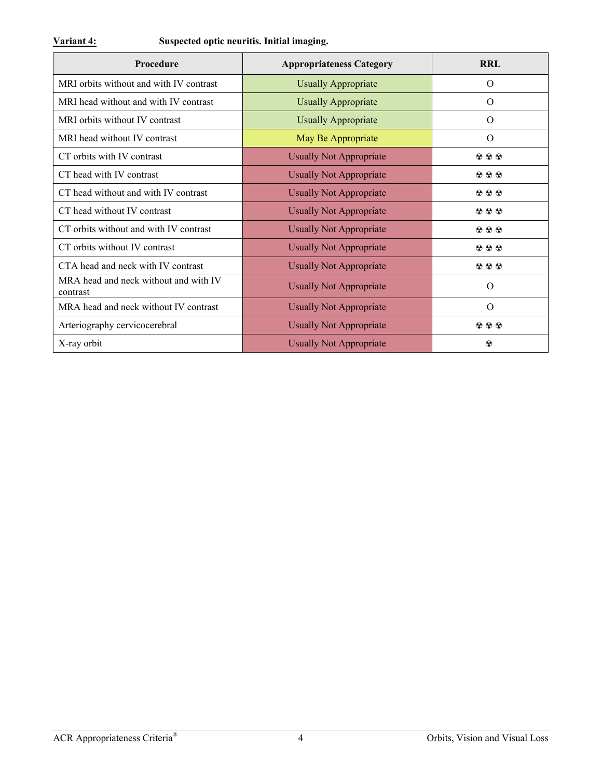| Procedure                                         | <b>Appropriateness Category</b> | <b>RRL</b>                               |
|---------------------------------------------------|---------------------------------|------------------------------------------|
| MRI orbits without and with IV contrast           | <b>Usually Appropriate</b>      | $\Omega$                                 |
| MRI head without and with IV contrast             | <b>Usually Appropriate</b>      | $\Omega$                                 |
| MRI orbits without IV contrast                    | <b>Usually Appropriate</b>      | $\Omega$                                 |
| MRI head without IV contrast                      | May Be Appropriate              | $\Omega$                                 |
| CT orbits with IV contrast                        | <b>Usually Not Appropriate</b>  | $\circledcirc \circledcirc$              |
| CT head with IV contrast                          | <b>Usually Not Appropriate</b>  | $\mathfrak{D} \mathfrak{D} \mathfrak{D}$ |
| CT head without and with IV contrast              | <b>Usually Not Appropriate</b>  | $\circledcirc \circledcirc$              |
| CT head without IV contrast                       | <b>Usually Not Appropriate</b>  | $\circledcirc \circledcirc$              |
| CT orbits without and with IV contrast            | <b>Usually Not Appropriate</b>  | $\circledcirc \circledcirc$              |
| CT orbits without IV contrast                     | <b>Usually Not Appropriate</b>  | $\mathfrak{D} \mathfrak{D} \mathfrak{D}$ |
| CTA head and neck with IV contrast                | <b>Usually Not Appropriate</b>  | $\circledcirc \circledcirc$              |
| MRA head and neck without and with IV<br>contrast | <b>Usually Not Appropriate</b>  | $\Omega$                                 |
| MRA head and neck without IV contrast             | <b>Usually Not Appropriate</b>  | $\Omega$                                 |
| Arteriography cervicocerebral                     | <b>Usually Not Appropriate</b>  | $\mathfrak{D} \mathfrak{D} \mathfrak{D}$ |
| X-ray orbit                                       | <b>Usually Not Appropriate</b>  | $\odot$                                  |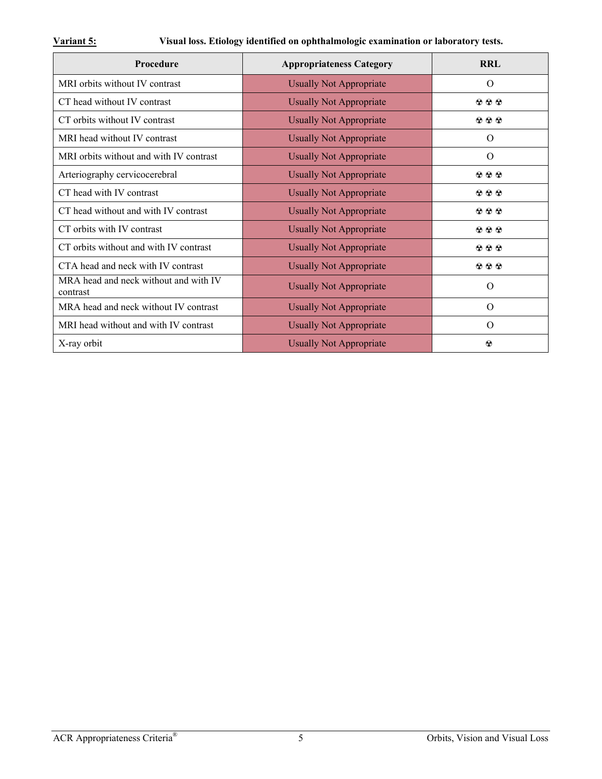## **Variant 5: Visual loss. Etiology identified on ophthalmologic examination or laboratory tests.**

| Procedure                                         | <b>Appropriateness Category</b> | <b>RRL</b>                                |
|---------------------------------------------------|---------------------------------|-------------------------------------------|
| MRI orbits without IV contrast                    | <b>Usually Not Appropriate</b>  | $\Omega$                                  |
| CT head without IV contrast                       | <b>Usually Not Appropriate</b>  | 200                                       |
| CT orbits without IV contrast                     | <b>Usually Not Appropriate</b>  | 200                                       |
| MRI head without IV contrast                      | <b>Usually Not Appropriate</b>  | O                                         |
| MRI orbits without and with IV contrast           | <b>Usually Not Appropriate</b>  | $\Omega$                                  |
| Arteriography cervicocerebral                     | <b>Usually Not Appropriate</b>  | 200                                       |
| CT head with IV contrast                          | <b>Usually Not Appropriate</b>  | 200                                       |
| CT head without and with IV contrast              | <b>Usually Not Appropriate</b>  | $\circledcirc \circledcirc$               |
| CT orbits with IV contrast                        | <b>Usually Not Appropriate</b>  | 200                                       |
| CT orbits without and with IV contrast            | <b>Usually Not Appropriate</b>  | $\mathbf{\Omega} \otimes \mathbf{\Omega}$ |
| CTA head and neck with IV contrast                | <b>Usually Not Appropriate</b>  | 200                                       |
| MRA head and neck without and with IV<br>contrast | <b>Usually Not Appropriate</b>  | $\Omega$                                  |
| MRA head and neck without IV contrast             | <b>Usually Not Appropriate</b>  | $\Omega$                                  |
| MRI head without and with IV contrast             | <b>Usually Not Appropriate</b>  | $\Omega$                                  |
| X-ray orbit                                       | <b>Usually Not Appropriate</b>  | $\circledcirc$                            |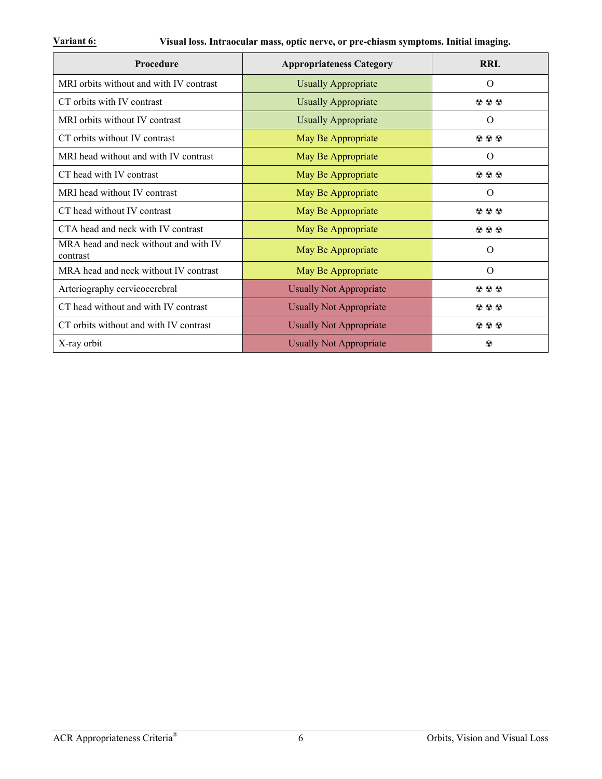| Procedure                                         | <b>Appropriateness Category</b> | <b>RRL</b>                  |
|---------------------------------------------------|---------------------------------|-----------------------------|
| MRI orbits without and with IV contrast           | <b>Usually Appropriate</b>      | O                           |
| CT orbits with IV contrast                        | <b>Usually Appropriate</b>      | $\circledcirc \circledcirc$ |
| MRI orbits without IV contrast                    | <b>Usually Appropriate</b>      | $\Omega$                    |
| CT orbits without IV contrast                     | May Be Appropriate              | $\circledcirc \circledcirc$ |
| MRI head without and with IV contrast             | May Be Appropriate              | $\Omega$                    |
| CT head with IV contrast                          | May Be Appropriate              | $\circledcirc \circledcirc$ |
| MRI head without IV contrast                      | May Be Appropriate              | $\Omega$                    |
| CT head without IV contrast                       | May Be Appropriate              | $\circledcirc \circledcirc$ |
| CTA head and neck with IV contrast                | May Be Appropriate              | $\circledcirc \circledcirc$ |
| MRA head and neck without and with IV<br>contrast | May Be Appropriate              | $\Omega$                    |
| MRA head and neck without IV contrast             | May Be Appropriate              | $\Omega$                    |
| Arteriography cervicocerebral                     | <b>Usually Not Appropriate</b>  | $\circledcirc \circledcirc$ |
| CT head without and with IV contrast              | <b>Usually Not Appropriate</b>  | $\circledcirc \circledcirc$ |
| CT orbits without and with IV contrast            | <b>Usually Not Appropriate</b>  | $\circledcirc \circledcirc$ |
| X-ray orbit                                       | <b>Usually Not Appropriate</b>  | $\circledcirc$              |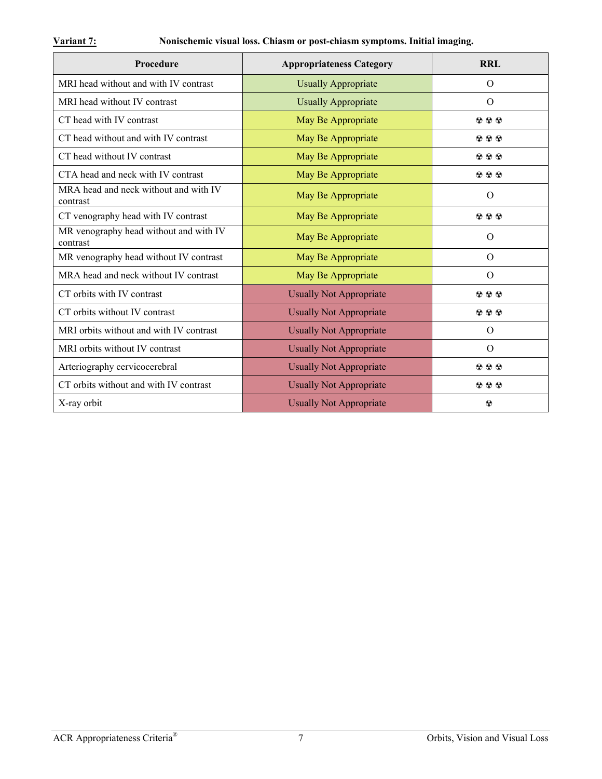| Procedure                                          | <b>Appropriateness Category</b> | <b>RRL</b>                  |
|----------------------------------------------------|---------------------------------|-----------------------------|
| MRI head without and with IV contrast              | <b>Usually Appropriate</b>      | $\Omega$                    |
| MRI head without IV contrast                       | <b>Usually Appropriate</b>      | $\Omega$                    |
| CT head with IV contrast                           | May Be Appropriate              | 220                         |
| CT head without and with IV contrast               | May Be Appropriate              | $\circledcirc \circledcirc$ |
| CT head without IV contrast                        | May Be Appropriate              | $\odot$ $\odot$ $\odot$     |
| CTA head and neck with IV contrast                 | May Be Appropriate              | 222                         |
| MRA head and neck without and with IV<br>contrast  | May Be Appropriate              | $\Omega$                    |
| CT venography head with IV contrast                | May Be Appropriate              | 222                         |
| MR venography head without and with IV<br>contrast | May Be Appropriate              | $\Omega$                    |
| MR venography head without IV contrast             | May Be Appropriate              | $\Omega$                    |
| MRA head and neck without IV contrast              | May Be Appropriate              | $\Omega$                    |
| CT orbits with IV contrast                         | <b>Usually Not Appropriate</b>  | $\circledcirc \circledcirc$ |
| CT orbits without IV contrast                      | <b>Usually Not Appropriate</b>  | 222                         |
| MRI orbits without and with IV contrast            | <b>Usually Not Appropriate</b>  | $\Omega$                    |
| MRI orbits without IV contrast                     | <b>Usually Not Appropriate</b>  | $\Omega$                    |
| Arteriography cervicocerebral                      | <b>Usually Not Appropriate</b>  | $\circledcirc \circledcirc$ |
| CT orbits without and with IV contrast             | <b>Usually Not Appropriate</b>  | 200                         |
| X-ray orbit                                        | <b>Usually Not Appropriate</b>  | $\circledcirc$              |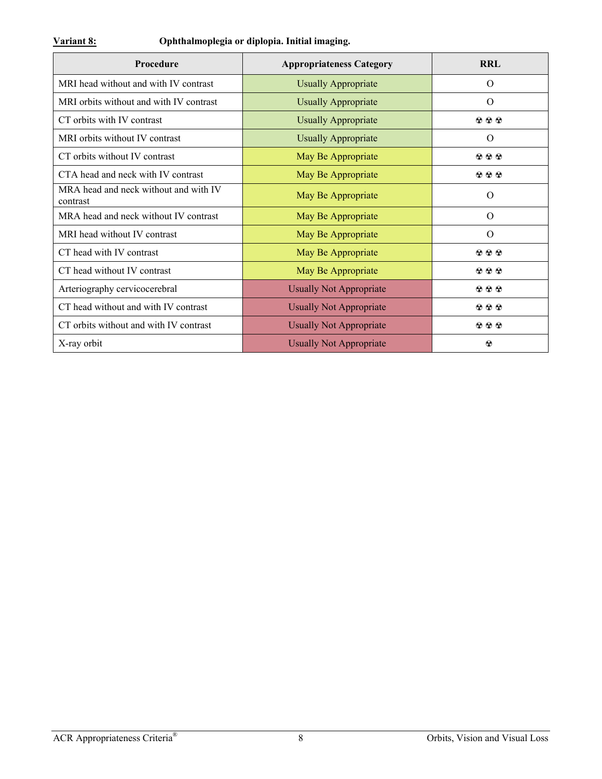| <b>Procedure</b>                                  | <b>Appropriateness Category</b> | <b>RRL</b>                               |
|---------------------------------------------------|---------------------------------|------------------------------------------|
| MRI head without and with IV contrast             | <b>Usually Appropriate</b>      | $\Omega$                                 |
| MRI orbits without and with IV contrast           | <b>Usually Appropriate</b>      | $\Omega$                                 |
| CT orbits with IV contrast                        | <b>Usually Appropriate</b>      | $\circledcirc \circledcirc$              |
| MRI orbits without IV contrast                    | <b>Usually Appropriate</b>      | O                                        |
| CT orbits without IV contrast                     | May Be Appropriate              | $\circledcirc \circledcirc$              |
| CTA head and neck with IV contrast                | May Be Appropriate              | $\mathfrak{D} \mathfrak{D} \mathfrak{D}$ |
| MRA head and neck without and with IV<br>contrast | May Be Appropriate              | $\Omega$                                 |
| MRA head and neck without IV contrast             | May Be Appropriate              | $\Omega$                                 |
| MRI head without IV contrast                      | May Be Appropriate              | $\Omega$                                 |
| CT head with IV contrast                          | May Be Appropriate              | $\circledcirc \circledcirc$              |
| CT head without IV contrast                       | May Be Appropriate              | $\circledcirc \circledcirc$              |
| Arteriography cervicocerebral                     | <b>Usually Not Appropriate</b>  | $\circledcirc \circledcirc$              |
| CT head without and with IV contrast              | <b>Usually Not Appropriate</b>  | $\circledcirc \circledcirc$              |
| CT orbits without and with IV contrast            | <b>Usually Not Appropriate</b>  | $\mathfrak{D} \mathfrak{D} \mathfrak{D}$ |
| X-ray orbit                                       | <b>Usually Not Appropriate</b>  | $\odot$                                  |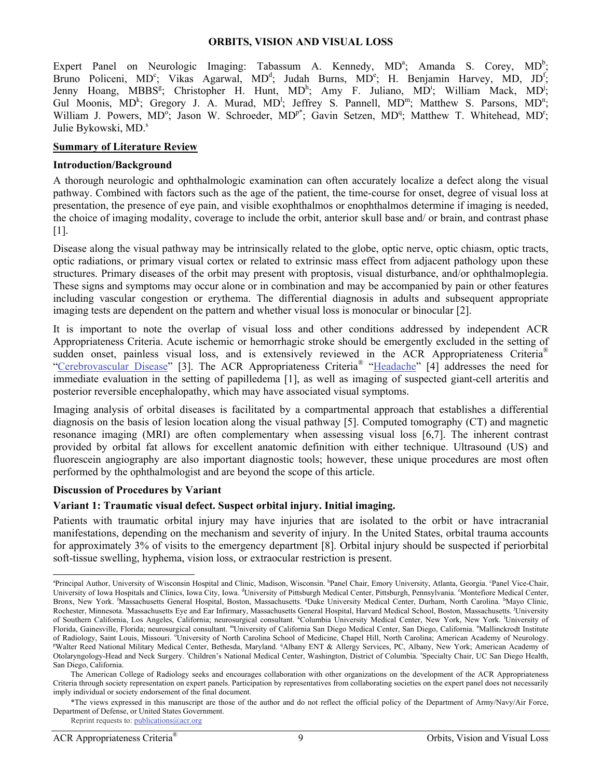#### **ORBITS, VISION AND VISUAL LOSS**

Expert Panel on Neurologic Imaging: Tabassum A. Kennedy,  $MD^a$ ; Amanda S. Corey,  $MD^b$ ; Bruno Policeni, MD<sup>c</sup>; Vikas Agarwal, MD<sup>d</sup>; Judah Burns, MD<sup>e</sup>; H. Benjamin Harvey, MD, JD<sup>f</sup>; Jenny Hoang, MBBS<sup>g</sup>; Christopher H. Hunt, MD<sup>h</sup>; Amy F. Juliano, MD<sup>i</sup>; William Mack, MD<sup>j</sup>; Gul Moonis, MD<sup>k</sup>; Gregory J. A. Murad, MD<sup>1</sup>; Jeffrey S. Pannell, MD<sup>m</sup>; Matthew S. Parsons, MD<sup>n</sup>; William J. Powers, MD<sup>o</sup>; Jason W. Schroeder, MD<sup>p\*</sup>; Gavin Setzen, MD<sup>q</sup>; Matthew T. Whitehead, MD<sup>r</sup>; Julie Bykowski, MD.<sup>s</sup>

#### **Summary of Literature Review**

#### **Introduction/Background**

A thorough neurologic and ophthalmologic examination can often accurately localize a defect along the visual pathway. Combined with factors such as the age of the patient, the time-course for onset, degree of visual loss at presentation, the presence of eye pain, and visible exophthalmos or enophthalmos determine if imaging is needed, the choice of imaging modality, coverage to include the orbit, anterior skull base and/ or brain, and contrast phase [1].

Disease along the visual pathway may be intrinsically related to the globe, optic nerve, optic chiasm, optic tracts, optic radiations, or primary visual cortex or related to extrinsic mass effect from adjacent pathology upon these structures. Primary diseases of the orbit may present with proptosis, visual disturbance, and/or ophthalmoplegia. These signs and symptoms may occur alone or in combination and may be accompanied by pain or other features including vascular congestion or erythema. The differential diagnosis in adults and subsequent appropriate imaging tests are dependent on the pattern and whether visual loss is monocular or binocular  $[2]$ .

It is important to note the overlap of visual loss and other conditions addressed by independent ACR Appropriateness Criteria. Acute ischemic or hemorrhagic stroke should be emergently excluded in the setting of sudden onset, painless visual loss, and is extensively reviewed in the ACR Appropriateness Criteria<sup>®</sup> "[Cerebrovascular Disease"](https://acsearch.acr.org/docs/69478/Narrative/) [3]. The ACR Appropriateness Criteria® ["Headache](https://acsearch.acr.org/docs/69482/Narrative/)" [4] addresses the need for immediate evaluation in the setting of papilledema [1], as well as imaging of suspected giant-cell arteritis and posterior reversible encephalopathy, which may have associated visual symptoms.

Imaging analysis of orbital diseases is facilitated by a compartmental approach that establishes a differential diagnosis on the basis of lesion location along the visual pathway [5]. Computed tomography (CT) and magnetic resonance imaging (MRI) are often complementary when assessing visual loss [6,7]. The inherent contrast provided by orbital fat allows for excellent anatomic definition with either technique. Ultrasound (US) and fluorescein angiography are also important diagnostic tools; however, these unique procedures are most often performed by the ophthalmologist and are beyond the scope of this article.

#### **Discussion of Procedures by Variant**

#### **Variant 1: Traumatic visual defect. Suspect orbital injury. Initial imaging.**

Patients with traumatic orbital injury may have injuries that are isolated to the orbit or have intracranial manifestations, depending on the mechanism and severity of injury. In the United States, orbital trauma accounts for approximately 3% of visits to the emergency department [8]. Orbital injury should be suspected if periorbital soft-tissue swelling, hyphema, vision loss, or extraocular restriction is present.

a<br>Principal Author, University of Wisconsin Hospital and Clinic, Madison, Wisconsin. <sup>b</sup>Panel Chair, Emory University, Atlanta, Georgia. <sup>c</sup>Panel Vice-Chair, University of Iowa Hospitals and Clinics, Iowa City, Iowa. <sup>d</sup>University of Pittsburgh Medical Center, Pittsburgh, Pennsylvania. <sup>6</sup>Montefiore Medical Center, Bronx, New York. Massachusetts General Hospital, Boston, Massachusetts. <sup>8</sup>Duke University Medical Center, Durham, North Carolina. <sup>h</sup>Mayo Clinic, Rochester, Minnesota. Massachusetts Eye and Ear Infirmary, Massachusetts General Hospital, Harvard Medical School, Boston, Massachusetts. University of Southern California, Los Angeles, California; neurosurgical consultant. <sup>k</sup>Columbia University Medical Center, New York, New York. <sup>1</sup>University of Florida, Gainesville, Florida; neurosurgical consultant. ""University of California San Diego Medical Center, San Diego, California. "Mallinckrodt Institute of Radiology, Saint Louis, Missouri. <sup>o</sup>University of North Carolina School of Medicine, Chapel Hill, North Carolina; American Academy of Neurology.<br><sup>PWolter Road Netional Military</sub> Medical Canter, Rethards, Meryland, 3.4 </sup> Walter Reed National Military Medical Center, Bethesda, Maryland. <sup>q</sup>Albany ENT & Allergy Services, PC, Albany, New York; American Academy of Otolaryngology-Head and Neck Surgery. 'Children's National Medical Center, Washington, District of Columbia. 'Specialty Chair, UC San Diego Health, San Diego, California.

The American College of Radiology seeks and encourages collaboration with other organizations on the development of the ACR Appropriateness Criteria through society representation on expert panels. Participation by representatives from collaborating societies on the expert panel does not necessarily imply individual or society endorsement of the final document.

 <sup>\*</sup>The views expressed in this manuscript are those of the author and do not reflect the official policy of the Department of Army/Navy/Air Force, Department of Defense, or United States Government.

Reprint requests to: publications@acr.org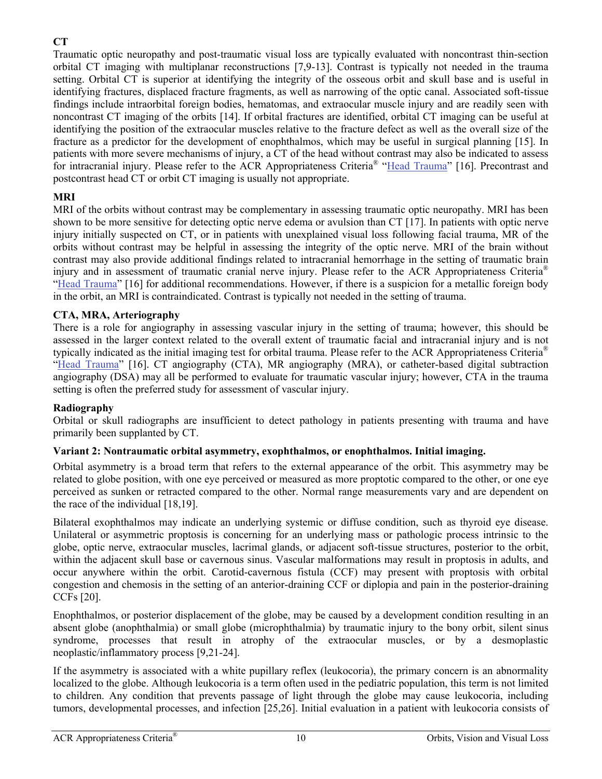# **CT**

Traumatic optic neuropathy and post-traumatic visual loss are typically evaluated with noncontrast thin-section orbital CT imaging with multiplanar reconstructions [7,9-13]. Contrast is typically not needed in the trauma setting. Orbital CT is superior at identifying the integrity of the osseous orbit and skull base and is useful in identifying fractures, displaced fracture fragments, as well as narrowing of the optic canal. Associated soft-tissue findings include intraorbital foreign bodies, hematomas, and extraocular muscle injury and are readily seen with noncontrast CT imaging of the orbits [14]. If orbital fractures are identified, orbital CT imaging can be useful at identifying the position of the extraocular muscles relative to the fracture defect as well as the overall size of the fracture as a predictor for the development of enophthalmos, which may be useful in surgical planning [15]. In patients with more severe mechanisms of injury, a CT of the head without contrast may also be indicated to assess for intracranial injury. Please refer to the ACR Appropriateness Criteria® "[Head Trauma](https://acsearch.acr.org/docs/69481/Narrative/)" [16]. Precontrast and postcontrast head CT or orbit CT imaging is usually not appropriate.

## **MRI**

MRI of the orbits without contrast may be complementary in assessing traumatic optic neuropathy. MRI has been shown to be more sensitive for detecting optic nerve edema or avulsion than CT [17]. In patients with optic nerve injury initially suspected on CT, or in patients with unexplained visual loss following facial trauma, MR of the orbits without contrast may be helpful in assessing the integrity of the optic nerve. MRI of the brain without contrast may also provide additional findings related to intracranial hemorrhage in the setting of traumatic brain injury and in assessment of traumatic cranial nerve injury. Please refer to the ACR Appropriateness Criteria® "[Head Trauma](https://acsearch.acr.org/docs/69481/Narrative/)" [16] for additional recommendations. However, if there is a suspicion for a metallic foreign body in the orbit, an MRI is contraindicated. Contrast is typically not needed in the setting of trauma.

## **CTA, MRA, Arteriography**

There is a role for angiography in assessing vascular injury in the setting of trauma; however, this should be assessed in the larger context related to the overall extent of traumatic facial and intracranial injury and is not typically indicated as the initial imaging test for orbital trauma. Please refer to the ACR Appropriateness Criteria® "[Head Trauma](https://acsearch.acr.org/docs/69481/Narrative/)" [16]. CT angiography (CTA), MR angiography (MRA), or catheter-based digital subtraction angiography (DSA) may all be performed to evaluate for traumatic vascular injury; however, CTA in the trauma setting is often the preferred study for assessment of vascular injury.

## **Radiography**

Orbital or skull radiographs are insufficient to detect pathology in patients presenting with trauma and have primarily been supplanted by CT.

## **Variant 2: Nontraumatic orbital asymmetry, exophthalmos, or enophthalmos. Initial imaging.**

Orbital asymmetry is a broad term that refers to the external appearance of the orbit. This asymmetry may be related to globe position, with one eye perceived or measured as more proptotic compared to the other, or one eye perceived as sunken or retracted compared to the other. Normal range measurements vary and are dependent on the race of the individual [18,19].

Bilateral exophthalmos may indicate an underlying systemic or diffuse condition, such as thyroid eye disease. Unilateral or asymmetric proptosis is concerning for an underlying mass or pathologic process intrinsic to the globe, optic nerve, extraocular muscles, lacrimal glands, or adjacent soft-tissue structures, posterior to the orbit, within the adjacent skull base or cavernous sinus. Vascular malformations may result in proptosis in adults, and occur anywhere within the orbit. Carotid-cavernous fistula (CCF) may present with proptosis with orbital congestion and chemosis in the setting of an anterior-draining CCF or diplopia and pain in the posterior-draining CCFs [20].

Enophthalmos, or posterior displacement of the globe, may be caused by a development condition resulting in an absent globe (anophthalmia) or small globe (microphthalmia) by traumatic injury to the bony orbit, silent sinus syndrome, processes that result in atrophy of the extraocular muscles, or by a desmoplastic neoplastic/inflammatory process [9,21-24].

If the asymmetry is associated with a white pupillary reflex (leukocoria), the primary concern is an abnormality localized to the globe. Although leukocoria is a term often used in the pediatric population, this term is not limited to children. Any condition that prevents passage of light through the globe may cause leukocoria, including tumors, developmental processes, and infection [25,26]. Initial evaluation in a patient with leukocoria consists of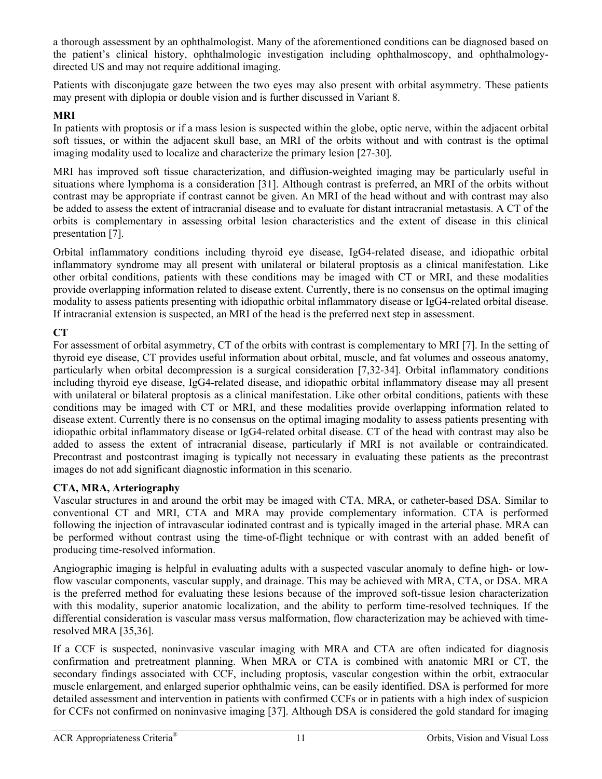a thorough assessment by an ophthalmologist. Many of the aforementioned conditions can be diagnosed based on the patient's clinical history, ophthalmologic investigation including ophthalmoscopy, and ophthalmologydirected US and may not require additional imaging.

Patients with disconjugate gaze between the two eyes may also present with orbital asymmetry. These patients may present with diplopia or double vision and is further discussed in Variant 8.

### **MRI**

In patients with proptosis or if a mass lesion is suspected within the globe, optic nerve, within the adjacent orbital soft tissues, or within the adjacent skull base, an MRI of the orbits without and with contrast is the optimal imaging modality used to localize and characterize the primary lesion [27-30].

MRI has improved soft tissue characterization, and diffusion-weighted imaging may be particularly useful in situations where lymphoma is a consideration [31]. Although contrast is preferred, an MRI of the orbits without contrast may be appropriate if contrast cannot be given. An MRI of the head without and with contrast may also be added to assess the extent of intracranial disease and to evaluate for distant intracranial metastasis. A CT of the orbits is complementary in assessing orbital lesion characteristics and the extent of disease in this clinical presentation [7].

Orbital inflammatory conditions including thyroid eye disease, IgG4-related disease, and idiopathic orbital inflammatory syndrome may all present with unilateral or bilateral proptosis as a clinical manifestation. Like other orbital conditions, patients with these conditions may be imaged with CT or MRI, and these modalities provide overlapping information related to disease extent. Currently, there is no consensus on the optimal imaging modality to assess patients presenting with idiopathic orbital inflammatory disease or IgG4-related orbital disease. If intracranial extension is suspected, an MRI of the head is the preferred next step in assessment.

## **CT**

For assessment of orbital asymmetry, CT of the orbits with contrast is complementary to MRI [7]. In the setting of thyroid eye disease, CT provides useful information about orbital, muscle, and fat volumes and osseous anatomy, particularly when orbital decompression is a surgical consideration [7,32-34]. Orbital inflammatory conditions including thyroid eye disease, IgG4-related disease, and idiopathic orbital inflammatory disease may all present with unilateral or bilateral proptosis as a clinical manifestation. Like other orbital conditions, patients with these conditions may be imaged with CT or MRI, and these modalities provide overlapping information related to disease extent. Currently there is no consensus on the optimal imaging modality to assess patients presenting with idiopathic orbital inflammatory disease or IgG4-related orbital disease. CT of the head with contrast may also be added to assess the extent of intracranial disease, particularly if MRI is not available or contraindicated. Precontrast and postcontrast imaging is typically not necessary in evaluating these patients as the precontrast images do not add significant diagnostic information in this scenario.

### **CTA, MRA, Arteriography**

Vascular structures in and around the orbit may be imaged with CTA, MRA, or catheter-based DSA. Similar to conventional CT and MRI, CTA and MRA may provide complementary information. CTA is performed following the injection of intravascular iodinated contrast and is typically imaged in the arterial phase. MRA can be performed without contrast using the time-of-flight technique or with contrast with an added benefit of producing time-resolved information.

Angiographic imaging is helpful in evaluating adults with a suspected vascular anomaly to define high- or lowflow vascular components, vascular supply, and drainage. This may be achieved with MRA, CTA, or DSA. MRA is the preferred method for evaluating these lesions because of the improved soft-tissue lesion characterization with this modality, superior anatomic localization, and the ability to perform time-resolved techniques. If the differential consideration is vascular mass versus malformation, flow characterization may be achieved with timeresolved MRA [35,36].

If a CCF is suspected, noninvasive vascular imaging with MRA and CTA are often indicated for diagnosis confirmation and pretreatment planning. When MRA or CTA is combined with anatomic MRI or CT, the secondary findings associated with CCF, including proptosis, vascular congestion within the orbit, extraocular muscle enlargement, and enlarged superior ophthalmic veins, can be easily identified. DSA is performed for more detailed assessment and intervention in patients with confirmed CCFs or in patients with a high index of suspicion for CCFs not confirmed on noninvasive imaging [37]. Although DSA is considered the gold standard for imaging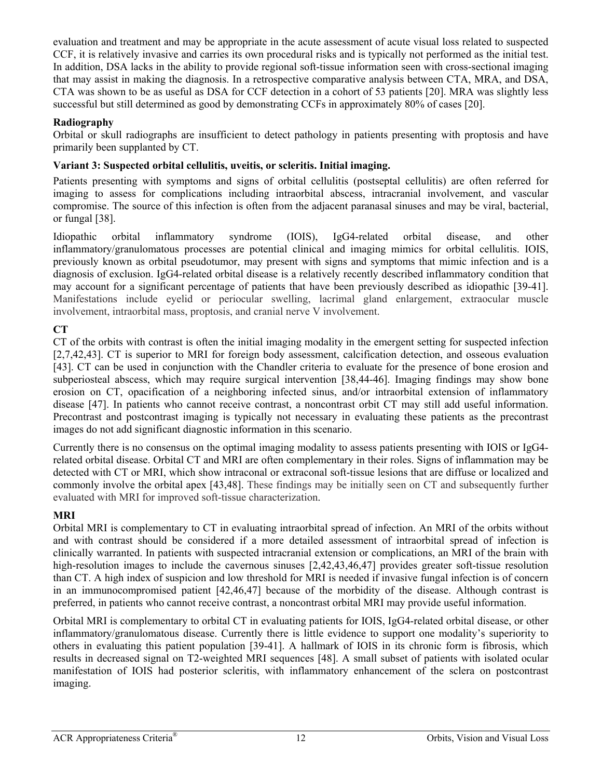evaluation and treatment and may be appropriate in the acute assessment of acute visual loss related to suspected CCF, it is relatively invasive and carries its own procedural risks and is typically not performed as the initial test. In addition, DSA lacks in the ability to provide regional soft-tissue information seen with cross-sectional imaging that may assist in making the diagnosis. In a retrospective comparative analysis between CTA, MRA, and DSA, CTA was shown to be as useful as DSA for CCF detection in a cohort of 53 patients [20]. MRA was slightly less successful but still determined as good by demonstrating CCFs in approximately 80% of cases [20].

## **Radiography**

Orbital or skull radiographs are insufficient to detect pathology in patients presenting with proptosis and have primarily been supplanted by CT.

## **Variant 3: Suspected orbital cellulitis, uveitis, or scleritis. Initial imaging.**

Patients presenting with symptoms and signs of orbital cellulitis (postseptal cellulitis) are often referred for imaging to assess for complications including intraorbital abscess, intracranial involvement, and vascular compromise. The source of this infection is often from the adjacent paranasal sinuses and may be viral, bacterial, or fungal [38].

Idiopathic orbital inflammatory syndrome (IOIS), IgG4-related orbital disease, and other inflammatory/granulomatous processes are potential clinical and imaging mimics for orbital cellulitis. IOIS, previously known as orbital pseudotumor, may present with signs and symptoms that mimic infection and is a diagnosis of exclusion. IgG4-related orbital disease is a relatively recently described inflammatory condition that may account for a significant percentage of patients that have been previously described as idiopathic [39-41]. Manifestations include eyelid or periocular swelling, lacrimal gland enlargement, extraocular muscle involvement, intraorbital mass, proptosis, and cranial nerve V involvement.

# **CT**

CT of the orbits with contrast is often the initial imaging modality in the emergent setting for suspected infection [2,7,42,43]. CT is superior to MRI for foreign body assessment, calcification detection, and osseous evaluation [43]. CT can be used in conjunction with the Chandler criteria to evaluate for the presence of bone erosion and subperiosteal abscess, which may require surgical intervention [38,44-46]. Imaging findings may show bone erosion on CT, opacification of a neighboring infected sinus, and/or intraorbital extension of inflammatory disease [47]. In patients who cannot receive contrast, a noncontrast orbit CT may still add useful information. Precontrast and postcontrast imaging is typically not necessary in evaluating these patients as the precontrast images do not add significant diagnostic information in this scenario.

Currently there is no consensus on the optimal imaging modality to assess patients presenting with IOIS or IgG4 related orbital disease. Orbital CT and MRI are often complementary in their roles. Signs of inflammation may be detected with CT or MRI, which show intraconal or extraconal soft-tissue lesions that are diffuse or localized and commonly involve the orbital apex [43,48]. These findings may be initially seen on CT and subsequently further evaluated with MRI for improved soft-tissue characterization.

## **MRI**

Orbital MRI is complementary to CT in evaluating intraorbital spread of infection. An MRI of the orbits without and with contrast should be considered if a more detailed assessment of intraorbital spread of infection is clinically warranted. In patients with suspected intracranial extension or complications, an MRI of the brain with high-resolution images to include the cavernous sinuses  $[2,42,43,46,47]$  provides greater soft-tissue resolution than CT. A high index of suspicion and low threshold for MRI is needed if invasive fungal infection is of concern in an immunocompromised patient [42,46,47] because of the morbidity of the disease. Although contrast is preferred, in patients who cannot receive contrast, a noncontrast orbital MRI may provide useful information.

Orbital MRI is complementary to orbital CT in evaluating patients for IOIS, IgG4-related orbital disease, or other inflammatory/granulomatous disease. Currently there is little evidence to support one modality's superiority to others in evaluating this patient population [39-41]. A hallmark of IOIS in its chronic form is fibrosis, which results in decreased signal on T2-weighted MRI sequences [48]. A small subset of patients with isolated ocular manifestation of IOIS had posterior scleritis, with inflammatory enhancement of the sclera on postcontrast imaging.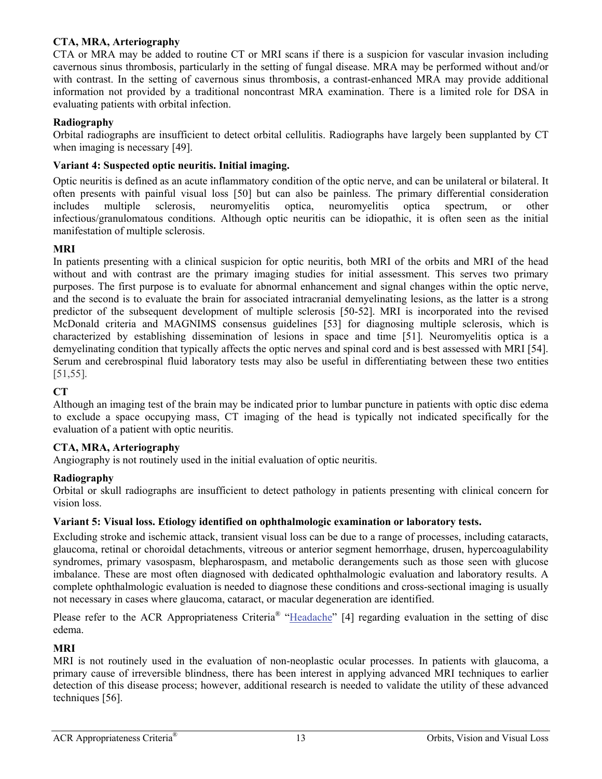### **CTA, MRA, Arteriography**

CTA or MRA may be added to routine CT or MRI scans if there is a suspicion for vascular invasion including cavernous sinus thrombosis, particularly in the setting of fungal disease. MRA may be performed without and/or with contrast. In the setting of cavernous sinus thrombosis, a contrast-enhanced MRA may provide additional information not provided by a traditional noncontrast MRA examination. There is a limited role for DSA in evaluating patients with orbital infection.

### **Radiography**

Orbital radiographs are insufficient to detect orbital cellulitis. Radiographs have largely been supplanted by CT when imaging is necessary [49].

### **Variant 4: Suspected optic neuritis. Initial imaging.**

Optic neuritis is defined as an acute inflammatory condition of the optic nerve, and can be unilateral or bilateral. It often presents with painful visual loss [50] but can also be painless. The primary differential consideration includes multiple sclerosis, neuromyelitis optica, neuromyelitis optica spectrum, or other infectious/granulomatous conditions. Although optic neuritis can be idiopathic, it is often seen as the initial manifestation of multiple sclerosis.

### **MRI**

In patients presenting with a clinical suspicion for optic neuritis, both MRI of the orbits and MRI of the head without and with contrast are the primary imaging studies for initial assessment. This serves two primary purposes. The first purpose is to evaluate for abnormal enhancement and signal changes within the optic nerve, and the second is to evaluate the brain for associated intracranial demyelinating lesions, as the latter is a strong predictor of the subsequent development of multiple sclerosis [50-52]. MRI is incorporated into the revised McDonald criteria and MAGNIMS consensus guidelines [53] for diagnosing multiple sclerosis, which is characterized by establishing dissemination of lesions in space and time [51]. Neuromyelitis optica is a demyelinating condition that typically affects the optic nerves and spinal cord and is best assessed with MRI [54]. Serum and cerebrospinal fluid laboratory tests may also be useful in differentiating between these two entities [51,55].

### **CT**

Although an imaging test of the brain may be indicated prior to lumbar puncture in patients with optic disc edema to exclude a space occupying mass, CT imaging of the head is typically not indicated specifically for the evaluation of a patient with optic neuritis.

### **CTA, MRA, Arteriography**

Angiography is not routinely used in the initial evaluation of optic neuritis.

### **Radiography**

Orbital or skull radiographs are insufficient to detect pathology in patients presenting with clinical concern for vision loss.

### **Variant 5: Visual loss. Etiology identified on ophthalmologic examination or laboratory tests.**

Excluding stroke and ischemic attack, transient visual loss can be due to a range of processes, including cataracts, glaucoma, retinal or choroidal detachments, vitreous or anterior segment hemorrhage, drusen, hypercoagulability syndromes, primary vasospasm, blepharospasm, and metabolic derangements such as those seen with glucose imbalance. These are most often diagnosed with dedicated ophthalmologic evaluation and laboratory results. A complete ophthalmologic evaluation is needed to diagnose these conditions and cross-sectional imaging is usually not necessary in cases where glaucoma, cataract, or macular degeneration are identified.

Please refer to the ACR Appropriateness Criteria<sup>®</sup> "[Headache"](https://acsearch.acr.org/docs/69482/Narrative/) [4] regarding evaluation in the setting of disc edema.

### **MRI**

MRI is not routinely used in the evaluation of non-neoplastic ocular processes. In patients with glaucoma, a primary cause of irreversible blindness, there has been interest in applying advanced MRI techniques to earlier detection of this disease process; however, additional research is needed to validate the utility of these advanced techniques [56].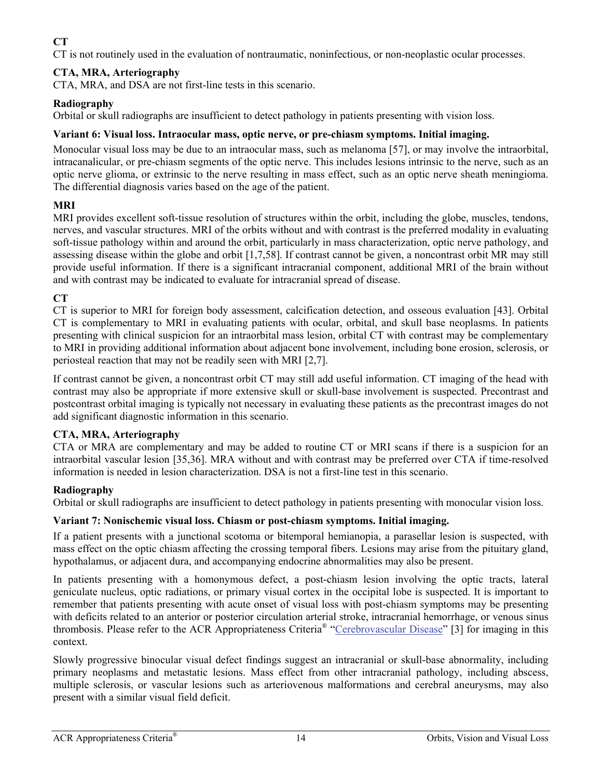# **CT**

CT is not routinely used in the evaluation of nontraumatic, noninfectious, or non-neoplastic ocular processes.

# **CTA, MRA, Arteriography**

CTA, MRA, and DSA are not first-line tests in this scenario.

## **Radiography**

Orbital or skull radiographs are insufficient to detect pathology in patients presenting with vision loss.

## **Variant 6: Visual loss. Intraocular mass, optic nerve, or pre-chiasm symptoms. Initial imaging.**

Monocular visual loss may be due to an intraocular mass, such as melanoma [57], or may involve the intraorbital, intracanalicular, or pre-chiasm segments of the optic nerve. This includes lesions intrinsic to the nerve, such as an optic nerve glioma, or extrinsic to the nerve resulting in mass effect, such as an optic nerve sheath meningioma. The differential diagnosis varies based on the age of the patient.

# **MRI**

MRI provides excellent soft-tissue resolution of structures within the orbit, including the globe, muscles, tendons, nerves, and vascular structures. MRI of the orbits without and with contrast is the preferred modality in evaluating soft-tissue pathology within and around the orbit, particularly in mass characterization, optic nerve pathology, and assessing disease within the globe and orbit [1,7,58]. If contrast cannot be given, a noncontrast orbit MR may still provide useful information. If there is a significant intracranial component, additional MRI of the brain without and with contrast may be indicated to evaluate for intracranial spread of disease.

# **CT**

CT is superior to MRI for foreign body assessment, calcification detection, and osseous evaluation [43]. Orbital CT is complementary to MRI in evaluating patients with ocular, orbital, and skull base neoplasms. In patients presenting with clinical suspicion for an intraorbital mass lesion, orbital CT with contrast may be complementary to MRI in providing additional information about adjacent bone involvement, including bone erosion, sclerosis, or periosteal reaction that may not be readily seen with MRI [2,7].

If contrast cannot be given, a noncontrast orbit CT may still add useful information. CT imaging of the head with contrast may also be appropriate if more extensive skull or skull-base involvement is suspected. Precontrast and postcontrast orbital imaging is typically not necessary in evaluating these patients as the precontrast images do not add significant diagnostic information in this scenario.

## **CTA, MRA, Arteriography**

CTA or MRA are complementary and may be added to routine CT or MRI scans if there is a suspicion for an intraorbital vascular lesion [35,36]. MRA without and with contrast may be preferred over CTA if time-resolved information is needed in lesion characterization. DSA is not a first-line test in this scenario.

## **Radiography**

Orbital or skull radiographs are insufficient to detect pathology in patients presenting with monocular vision loss.

## **Variant 7: Nonischemic visual loss. Chiasm or post-chiasm symptoms. Initial imaging.**

If a patient presents with a junctional scotoma or bitemporal hemianopia, a parasellar lesion is suspected, with mass effect on the optic chiasm affecting the crossing temporal fibers. Lesions may arise from the pituitary gland, hypothalamus, or adjacent dura, and accompanying endocrine abnormalities may also be present.

In patients presenting with a homonymous defect, a post-chiasm lesion involving the optic tracts, lateral geniculate nucleus, optic radiations, or primary visual cortex in the occipital lobe is suspected. It is important to remember that patients presenting with acute onset of visual loss with post-chiasm symptoms may be presenting with deficits related to an anterior or posterior circulation arterial stroke, intracranial hemorrhage, or venous sinus thrombosis. Please refer to the ACR Appropriateness Criteria® ["Cerebrovascular Disease"](https://acsearch.acr.org/docs/69478/Narrative/) [3] for imaging in this context.

Slowly progressive binocular visual defect findings suggest an intracranial or skull-base abnormality, including primary neoplasms and metastatic lesions. Mass effect from other intracranial pathology, including abscess, multiple sclerosis, or vascular lesions such as arteriovenous malformations and cerebral aneurysms, may also present with a similar visual field deficit.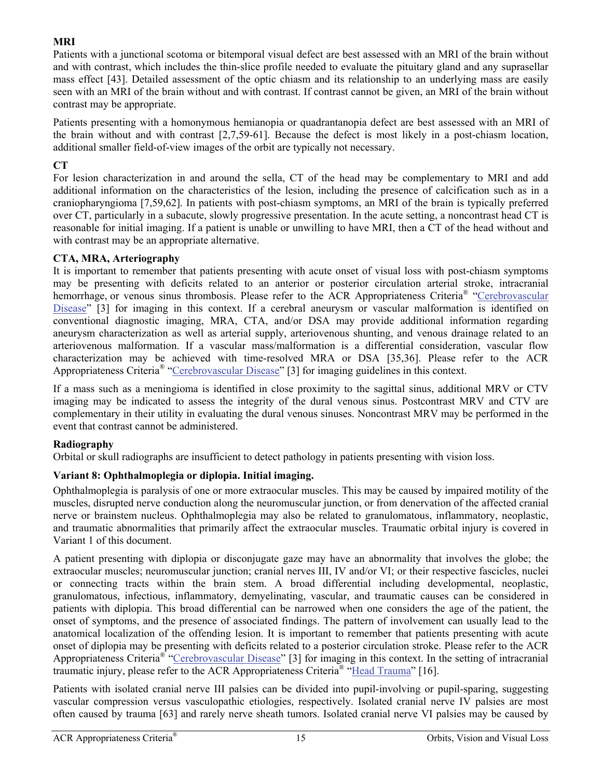### **MRI**

Patients with a junctional scotoma or bitemporal visual defect are best assessed with an MRI of the brain without and with contrast, which includes the thin-slice profile needed to evaluate the pituitary gland and any suprasellar mass effect [43]. Detailed assessment of the optic chiasm and its relationship to an underlying mass are easily seen with an MRI of the brain without and with contrast. If contrast cannot be given, an MRI of the brain without contrast may be appropriate.

Patients presenting with a homonymous hemianopia or quadrantanopia defect are best assessed with an MRI of the brain without and with contrast [2,7,59-61]. Because the defect is most likely in a post-chiasm location, additional smaller field-of-view images of the orbit are typically not necessary.

### **CT**

For lesion characterization in and around the sella, CT of the head may be complementary to MRI and add additional information on the characteristics of the lesion, including the presence of calcification such as in a craniopharyngioma [7,59,62]. In patients with post-chiasm symptoms, an MRI of the brain is typically preferred over CT, particularly in a subacute, slowly progressive presentation. In the acute setting, a noncontrast head CT is reasonable for initial imaging. If a patient is unable or unwilling to have MRI, then a CT of the head without and with contrast may be an appropriate alternative.

### **CTA, MRA, Arteriography**

It is important to remember that patients presenting with acute onset of visual loss with post-chiasm symptoms may be presenting with deficits related to an anterior or posterior circulation arterial stroke, intracranial hemorrhage, or venous sinus thrombosis. Please refer to the ACR Appropriateness Criteria<sup>®</sup> "[Cerebrovascular](https://acsearch.acr.org/docs/69478/Narrative/) [Disease"](https://acsearch.acr.org/docs/69478/Narrative/) [3] for imaging in this context. If a cerebral aneurysm or vascular malformation is identified on conventional diagnostic imaging, MRA, CTA, and/or DSA may provide additional information regarding aneurysm characterization as well as arterial supply, arteriovenous shunting, and venous drainage related to an arteriovenous malformation. If a vascular mass/malformation is a differential consideration, vascular flow characterization may be achieved with time-resolved MRA or DSA [35,36]. Please refer to the ACR Appropriateness Criteria® ["Cerebrovascular Disease](https://acsearch.acr.org/docs/69478/Narrative/)" [3] for imaging guidelines in this context.

If a mass such as a meningioma is identified in close proximity to the sagittal sinus, additional MRV or CTV imaging may be indicated to assess the integrity of the dural venous sinus. Postcontrast MRV and CTV are complementary in their utility in evaluating the dural venous sinuses. Noncontrast MRV may be performed in the event that contrast cannot be administered.

### **Radiography**

Orbital or skull radiographs are insufficient to detect pathology in patients presenting with vision loss.

## **Variant 8: Ophthalmoplegia or diplopia. Initial imaging.**

Ophthalmoplegia is paralysis of one or more extraocular muscles. This may be caused by impaired motility of the muscles, disrupted nerve conduction along the neuromuscular junction, or from denervation of the affected cranial nerve or brainstem nucleus. Ophthalmoplegia may also be related to granulomatous, inflammatory, neoplastic, and traumatic abnormalities that primarily affect the extraocular muscles. Traumatic orbital injury is covered in Variant 1 of this document.

A patient presenting with diplopia or disconjugate gaze may have an abnormality that involves the globe; the extraocular muscles; neuromuscular junction; cranial nerves III, IV and/or VI; or their respective fascicles, nuclei or connecting tracts within the brain stem. A broad differential including developmental, neoplastic, granulomatous, infectious, inflammatory, demyelinating, vascular, and traumatic causes can be considered in patients with diplopia. This broad differential can be narrowed when one considers the age of the patient, the onset of symptoms, and the presence of associated findings. The pattern of involvement can usually lead to the anatomical localization of the offending lesion. It is important to remember that patients presenting with acute onset of diplopia may be presenting with deficits related to a posterior circulation stroke. Please refer to the ACR Appropriateness Criteria® ["Cerebrovascular Disease"](https://acsearch.acr.org/docs/69478/Narrative/) [3] for imaging in this context. In the setting of intracranial traumatic injury, please refer to the ACR Appropriateness Criteria<sup>®</sup> "[Head Trauma](https://acsearch.acr.org/docs/69481/Narrative/)" [16].

Patients with isolated cranial nerve III palsies can be divided into pupil-involving or pupil-sparing, suggesting vascular compression versus vasculopathic etiologies, respectively. Isolated cranial nerve IV palsies are most often caused by trauma [63] and rarely nerve sheath tumors. Isolated cranial nerve VI palsies may be caused by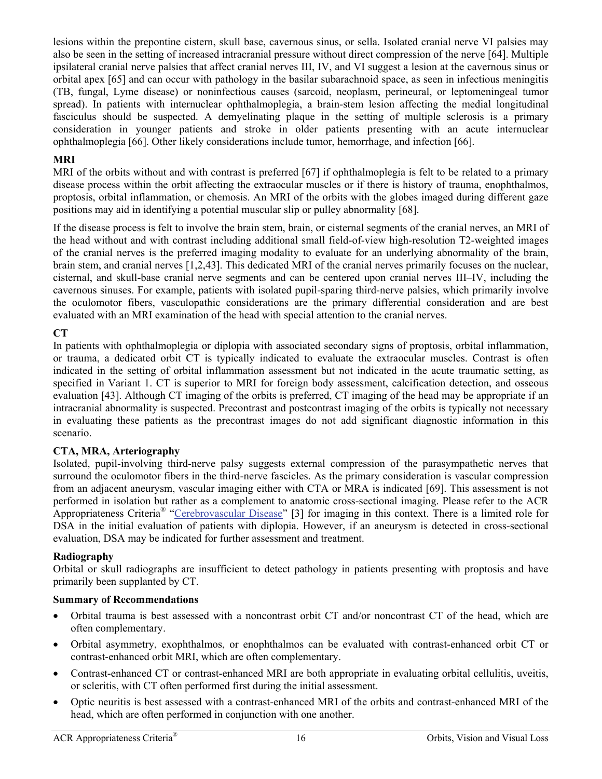lesions within the prepontine cistern, skull base, cavernous sinus, or sella. Isolated cranial nerve VI palsies may also be seen in the setting of increased intracranial pressure without direct compression of the nerve [64]. Multiple ipsilateral cranial nerve palsies that affect cranial nerves III, IV, and VI suggest a lesion at the cavernous sinus or orbital apex [65] and can occur with pathology in the basilar subarachnoid space, as seen in infectious meningitis (TB, fungal, Lyme disease) or noninfectious causes (sarcoid, neoplasm, perineural, or leptomeningeal tumor spread). In patients with internuclear ophthalmoplegia, a brain-stem lesion affecting the medial longitudinal fasciculus should be suspected. A demyelinating plaque in the setting of multiple sclerosis is a primary consideration in younger patients and stroke in older patients presenting with an acute internuclear ophthalmoplegia [66]. Other likely considerations include tumor, hemorrhage, and infection [66].

### **MRI**

MRI of the orbits without and with contrast is preferred [67] if ophthalmoplegia is felt to be related to a primary disease process within the orbit affecting the extraocular muscles or if there is history of trauma, enophthalmos, proptosis, orbital inflammation, or chemosis. An MRI of the orbits with the globes imaged during different gaze positions may aid in identifying a potential muscular slip or pulley abnormality [68].

If the disease process is felt to involve the brain stem, brain, or cisternal segments of the cranial nerves, an MRI of the head without and with contrast including additional small field-of-view high-resolution T2-weighted images of the cranial nerves is the preferred imaging modality to evaluate for an underlying abnormality of the brain, brain stem, and cranial nerves [1,2,43]. This dedicated MRI of the cranial nerves primarily focuses on the nuclear, cisternal, and skull-base cranial nerve segments and can be centered upon cranial nerves III–IV, including the cavernous sinuses. For example, patients with isolated pupil-sparing third-nerve palsies, which primarily involve the oculomotor fibers, vasculopathic considerations are the primary differential consideration and are best evaluated with an MRI examination of the head with special attention to the cranial nerves.

## **CT**

In patients with ophthalmoplegia or diplopia with associated secondary signs of proptosis, orbital inflammation, or trauma, a dedicated orbit CT is typically indicated to evaluate the extraocular muscles. Contrast is often indicated in the setting of orbital inflammation assessment but not indicated in the acute traumatic setting, as specified in Variant 1. CT is superior to MRI for foreign body assessment, calcification detection, and osseous evaluation [43]. Although CT imaging of the orbits is preferred, CT imaging of the head may be appropriate if an intracranial abnormality is suspected. Precontrast and postcontrast imaging of the orbits is typically not necessary in evaluating these patients as the precontrast images do not add significant diagnostic information in this scenario.

### **CTA, MRA, Arteriography**

Isolated, pupil-involving third-nerve palsy suggests external compression of the parasympathetic nerves that surround the oculomotor fibers in the third-nerve fascicles. As the primary consideration is vascular compression from an adjacent aneurysm, vascular imaging either with CTA or MRA is indicated [69]. This assessment is not performed in isolation but rather as a complement to anatomic cross-sectional imaging. Please refer to the ACR Appropriateness Criteria<sup>®</sup> ["Cerebrovascular Disease](https://acsearch.acr.org/docs/69478/Narrative/)" [3] for imaging in this context. There is a limited role for DSA in the initial evaluation of patients with diplopia. However, if an aneurysm is detected in cross-sectional evaluation, DSA may be indicated for further assessment and treatment.

### **Radiography**

Orbital or skull radiographs are insufficient to detect pathology in patients presenting with proptosis and have primarily been supplanted by CT.

### **Summary of Recommendations**

- Orbital trauma is best assessed with a noncontrast orbit CT and/or noncontrast CT of the head, which are often complementary.
- Orbital asymmetry, exophthalmos, or enophthalmos can be evaluated with contrast-enhanced orbit CT or contrast-enhanced orbit MRI, which are often complementary.
- Contrast-enhanced CT or contrast-enhanced MRI are both appropriate in evaluating orbital cellulitis, uveitis, or scleritis, with CT often performed first during the initial assessment.
- Optic neuritis is best assessed with a contrast-enhanced MRI of the orbits and contrast-enhanced MRI of the head, which are often performed in conjunction with one another.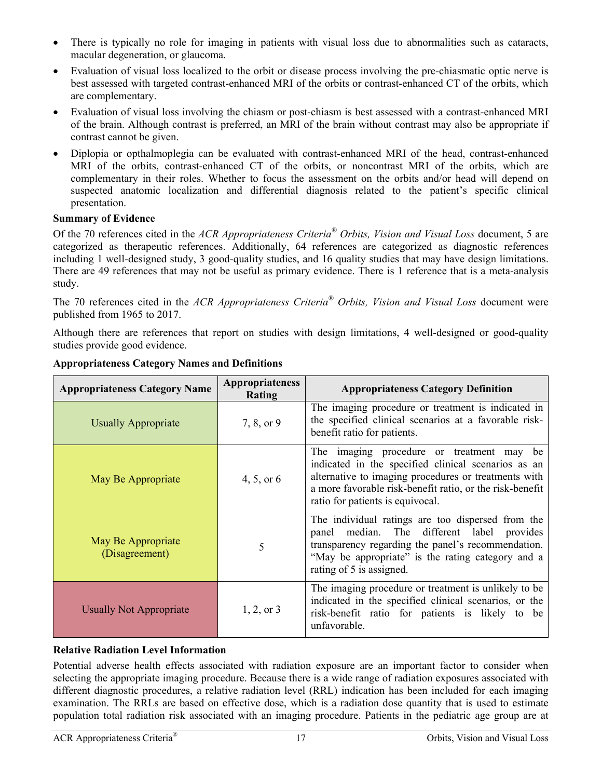- There is typically no role for imaging in patients with visual loss due to abnormalities such as cataracts, macular degeneration, or glaucoma.
- Evaluation of visual loss localized to the orbit or disease process involving the pre-chiasmatic optic nerve is best assessed with targeted contrast-enhanced MRI of the orbits or contrast-enhanced CT of the orbits, which are complementary.
- Evaluation of visual loss involving the chiasm or post-chiasm is best assessed with a contrast-enhanced MRI of the brain. Although contrast is preferred, an MRI of the brain without contrast may also be appropriate if contrast cannot be given.
- Diplopia or opthalmoplegia can be evaluated with contrast-enhanced MRI of the head, contrast-enhanced MRI of the orbits, contrast-enhanced CT of the orbits, or noncontrast MRI of the orbits, which are complementary in their roles. Whether to focus the assessment on the orbits and/or head will depend on suspected anatomic localization and differential diagnosis related to the patient's specific clinical presentation.

## **Summary of Evidence**

Of the 70 references cited in the *ACR Appropriateness Criteria® Orbits, Vision and Visual Loss* document, 5 are categorized as therapeutic references. Additionally, 64 references are categorized as diagnostic references including 1 well-designed study, 3 good-quality studies, and 16 quality studies that may have design limitations. There are 49 references that may not be useful as primary evidence. There is 1 reference that is a meta-analysis study.

The 70 references cited in the *ACR Appropriateness Criteria® Orbits, Vision and Visual Loss* document were published from 1965 to 2017.

Although there are references that report on studies with design limitations, 4 well-designed or good-quality studies provide good evidence.

| <b>Appropriateness Category Name</b> | Appropriateness<br>Rating | <b>Appropriateness Category Definition</b>                                                                                                                                                                                                                  |
|--------------------------------------|---------------------------|-------------------------------------------------------------------------------------------------------------------------------------------------------------------------------------------------------------------------------------------------------------|
| <b>Usually Appropriate</b>           | 7, 8, or 9                | The imaging procedure or treatment is indicated in<br>the specified clinical scenarios at a favorable risk-<br>benefit ratio for patients.                                                                                                                  |
| May Be Appropriate                   | 4, 5, or $6$              | The imaging procedure or treatment may<br>be<br>indicated in the specified clinical scenarios as an<br>alternative to imaging procedures or treatments with<br>a more favorable risk-benefit ratio, or the risk-benefit<br>ratio for patients is equivocal. |
| May Be Appropriate<br>(Disagreement) | 5                         | The individual ratings are too dispersed from the<br>median. The different label provides<br>panel<br>transparency regarding the panel's recommendation.<br>"May be appropriate" is the rating category and a<br>rating of 5 is assigned.                   |
| <b>Usually Not Appropriate</b>       | $1, 2,$ or 3              | The imaging procedure or treatment is unlikely to be<br>indicated in the specified clinical scenarios, or the<br>risk-benefit ratio for patients is likely to be<br>unfavorable.                                                                            |

## **Appropriateness Category Names and Definitions**

## **Relative Radiation Level Information**

Potential adverse health effects associated with radiation exposure are an important factor to consider when selecting the appropriate imaging procedure. Because there is a wide range of radiation exposures associated with different diagnostic procedures, a relative radiation level (RRL) indication has been included for each imaging examination. The RRLs are based on effective dose, which is a radiation dose quantity that is used to estimate population total radiation risk associated with an imaging procedure. Patients in the pediatric age group are at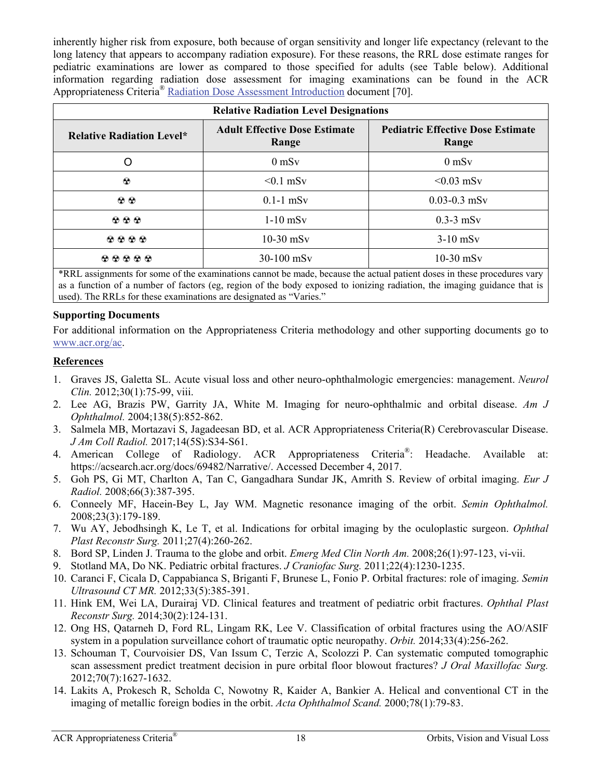inherently higher risk from exposure, both because of organ sensitivity and longer life expectancy (relevant to the long latency that appears to accompany radiation exposure). For these reasons, the RRL dose estimate ranges for pediatric examinations are lower as compared to those specified for adults (see Table below). Additional information regarding radiation dose assessment for imaging examinations can be found in the ACR Appropriateness Criteria® [Radiation Dose Assessment Introduction](https://www.acr.org/-/media/ACR/Files/Appropriateness-Criteria/RadiationDoseAssessmentIntro.pdf) document [70].

| <b>Relative Radiation Level Designations</b> |                                               |                                                   |
|----------------------------------------------|-----------------------------------------------|---------------------------------------------------|
| <b>Relative Radiation Level*</b>             | <b>Adult Effective Dose Estimate</b><br>Range | <b>Pediatric Effective Dose Estimate</b><br>Range |
| O                                            | $0 \text{ mSv}$                               | $0 \text{ mSv}$                                   |
| $\odot$                                      | $\leq 0.1$ mSv                                | $\leq 0.03$ mSv                                   |
| $\odot$ $\odot$                              | $0.1-1$ mS <sub>v</sub>                       | $0.03 - 0.3$ mSv                                  |
| $\mathbf{\Omega} \otimes \mathbf{\Omega}$    | $1-10$ mS <sub>v</sub>                        | $0.3-3$ mSv                                       |
| 6000                                         | $10-30$ mSv                                   | $3-10$ mSv                                        |
| 00000                                        | $30-100$ mSv                                  | $10-30$ mSv                                       |

\*RRL assignments for some of the examinations cannot be made, because the actual patient doses in these procedures vary as a function of a number of factors (eg, region of the body exposed to ionizing radiation, the imaging guidance that is used). The RRLs for these examinations are designated as "Varies."

### **Supporting Documents**

For additional information on the Appropriateness Criteria methodology and other supporting documents go to www.acr.org/ac.

### **References**

- 1. Graves JS, Galetta SL. Acute visual loss and other neuro-ophthalmologic emergencies: management. *Neurol Clin.* 2012;30(1):75-99, viii.
- 2. Lee AG, Brazis PW, Garrity JA, White M. Imaging for neuro-ophthalmic and orbital disease. *Am J Ophthalmol.* 2004;138(5):852-862.
- 3. Salmela MB, Mortazavi S, Jagadeesan BD, et al. ACR Appropriateness Criteria(R) Cerebrovascular Disease. *J Am Coll Radiol.* 2017;14(5S):S34-S61.
- 4. American College of Radiology. ACR Appropriateness Criteria®: Headache. Available at: https://acsearch.acr.org/docs/69482/Narrative/. Accessed December 4, 2017.
- 5. Goh PS, Gi MT, Charlton A, Tan C, Gangadhara Sundar JK, Amrith S. Review of orbital imaging. *Eur J Radiol.* 2008;66(3):387-395.
- 6. Conneely MF, Hacein-Bey L, Jay WM. Magnetic resonance imaging of the orbit. *Semin Ophthalmol.*  2008;23(3):179-189.
- 7. Wu AY, Jebodhsingh K, Le T, et al. Indications for orbital imaging by the oculoplastic surgeon. *Ophthal Plast Reconstr Surg.* 2011;27(4):260-262.
- 8. Bord SP, Linden J. Trauma to the globe and orbit. *Emerg Med Clin North Am.* 2008;26(1):97-123, vi-vii.
- 9. Stotland MA, Do NK. Pediatric orbital fractures. *J Craniofac Surg.* 2011;22(4):1230-1235.
- 10. Caranci F, Cicala D, Cappabianca S, Briganti F, Brunese L, Fonio P. Orbital fractures: role of imaging. *Semin Ultrasound CT MR.* 2012;33(5):385-391.
- 11. Hink EM, Wei LA, Durairaj VD. Clinical features and treatment of pediatric orbit fractures. *Ophthal Plast Reconstr Surg.* 2014;30(2):124-131.
- 12. Ong HS, Qatarneh D, Ford RL, Lingam RK, Lee V. Classification of orbital fractures using the AO/ASIF system in a population surveillance cohort of traumatic optic neuropathy. *Orbit.* 2014;33(4):256-262.
- 13. Schouman T, Courvoisier DS, Van Issum C, Terzic A, Scolozzi P. Can systematic computed tomographic scan assessment predict treatment decision in pure orbital floor blowout fractures? *J Oral Maxillofac Surg.*  2012;70(7):1627-1632.
- 14. Lakits A, Prokesch R, Scholda C, Nowotny R, Kaider A, Bankier A. Helical and conventional CT in the imaging of metallic foreign bodies in the orbit. *Acta Ophthalmol Scand.* 2000;78(1):79-83.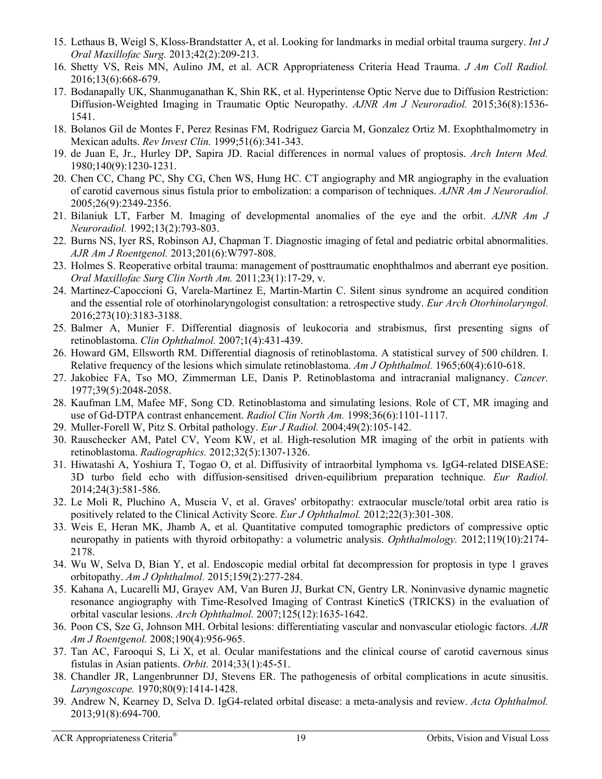- 15. Lethaus B, Weigl S, Kloss-Brandstatter A, et al. Looking for landmarks in medial orbital trauma surgery. *Int J Oral Maxillofac Surg.* 2013;42(2):209-213.
- 16. Shetty VS, Reis MN, Aulino JM, et al. ACR Appropriateness Criteria Head Trauma. *J Am Coll Radiol.*  2016;13(6):668-679.
- 17. Bodanapally UK, Shanmuganathan K, Shin RK, et al. Hyperintense Optic Nerve due to Diffusion Restriction: Diffusion-Weighted Imaging in Traumatic Optic Neuropathy. *AJNR Am J Neuroradiol.* 2015;36(8):1536- 1541.
- 18. Bolanos Gil de Montes F, Perez Resinas FM, Rodriguez Garcia M, Gonzalez Ortiz M. Exophthalmometry in Mexican adults. *Rev Invest Clin.* 1999;51(6):341-343.
- 19. de Juan E, Jr., Hurley DP, Sapira JD. Racial differences in normal values of proptosis. *Arch Intern Med.*  1980;140(9):1230-1231.
- 20. Chen CC, Chang PC, Shy CG, Chen WS, Hung HC. CT angiography and MR angiography in the evaluation of carotid cavernous sinus fistula prior to embolization: a comparison of techniques. *AJNR Am J Neuroradiol.*  2005;26(9):2349-2356.
- 21. Bilaniuk LT, Farber M. Imaging of developmental anomalies of the eye and the orbit. *AJNR Am J Neuroradiol.* 1992;13(2):793-803.
- 22. Burns NS, Iyer RS, Robinson AJ, Chapman T. Diagnostic imaging of fetal and pediatric orbital abnormalities. *AJR Am J Roentgenol.* 2013;201(6):W797-808.
- 23. Holmes S. Reoperative orbital trauma: management of posttraumatic enophthalmos and aberrant eye position. *Oral Maxillofac Surg Clin North Am.* 2011;23(1):17-29, v.
- 24. Martinez-Capoccioni G, Varela-Martinez E, Martin-Martin C. Silent sinus syndrome an acquired condition and the essential role of otorhinolaryngologist consultation: a retrospective study. *Eur Arch Otorhinolaryngol.*  2016;273(10):3183-3188.
- 25. Balmer A, Munier F. Differential diagnosis of leukocoria and strabismus, first presenting signs of retinoblastoma. *Clin Ophthalmol.* 2007;1(4):431-439.
- 26. Howard GM, Ellsworth RM. Differential diagnosis of retinoblastoma. A statistical survey of 500 children. I. Relative frequency of the lesions which simulate retinoblastoma. *Am J Ophthalmol.* 1965;60(4):610-618.
- 27. Jakobiec FA, Tso MO, Zimmerman LE, Danis P. Retinoblastoma and intracranial malignancy. *Cancer.*  1977;39(5):2048-2058.
- 28. Kaufman LM, Mafee MF, Song CD. Retinoblastoma and simulating lesions. Role of CT, MR imaging and use of Gd-DTPA contrast enhancement. *Radiol Clin North Am.* 1998;36(6):1101-1117.
- 29. Muller-Forell W, Pitz S. Orbital pathology. *Eur J Radiol.* 2004;49(2):105-142.
- 30. Rauschecker AM, Patel CV, Yeom KW, et al. High-resolution MR imaging of the orbit in patients with retinoblastoma. *Radiographics.* 2012;32(5):1307-1326.
- 31. Hiwatashi A, Yoshiura T, Togao O, et al. Diffusivity of intraorbital lymphoma vs. IgG4-related DISEASE: 3D turbo field echo with diffusion-sensitised driven-equilibrium preparation technique. *Eur Radiol.*  2014;24(3):581-586.
- 32. Le Moli R, Pluchino A, Muscia V, et al. Graves' orbitopathy: extraocular muscle/total orbit area ratio is positively related to the Clinical Activity Score. *Eur J Ophthalmol.* 2012;22(3):301-308.
- 33. Weis E, Heran MK, Jhamb A, et al. Quantitative computed tomographic predictors of compressive optic neuropathy in patients with thyroid orbitopathy: a volumetric analysis. *Ophthalmology.* 2012;119(10):2174- 2178.
- 34. Wu W, Selva D, Bian Y, et al. Endoscopic medial orbital fat decompression for proptosis in type 1 graves orbitopathy. *Am J Ophthalmol.* 2015;159(2):277-284.
- 35. Kahana A, Lucarelli MJ, Grayev AM, Van Buren JJ, Burkat CN, Gentry LR. Noninvasive dynamic magnetic resonance angiography with Time-Resolved Imaging of Contrast KineticS (TRICKS) in the evaluation of orbital vascular lesions. *Arch Ophthalmol.* 2007;125(12):1635-1642.
- 36. Poon CS, Sze G, Johnson MH. Orbital lesions: differentiating vascular and nonvascular etiologic factors. *AJR Am J Roentgenol.* 2008;190(4):956-965.
- 37. Tan AC, Farooqui S, Li X, et al. Ocular manifestations and the clinical course of carotid cavernous sinus fistulas in Asian patients. *Orbit.* 2014;33(1):45-51.
- 38. Chandler JR, Langenbrunner DJ, Stevens ER. The pathogenesis of orbital complications in acute sinusitis. *Laryngoscope.* 1970;80(9):1414-1428.
- 39. Andrew N, Kearney D, Selva D. IgG4-related orbital disease: a meta-analysis and review. *Acta Ophthalmol.*  2013;91(8):694-700.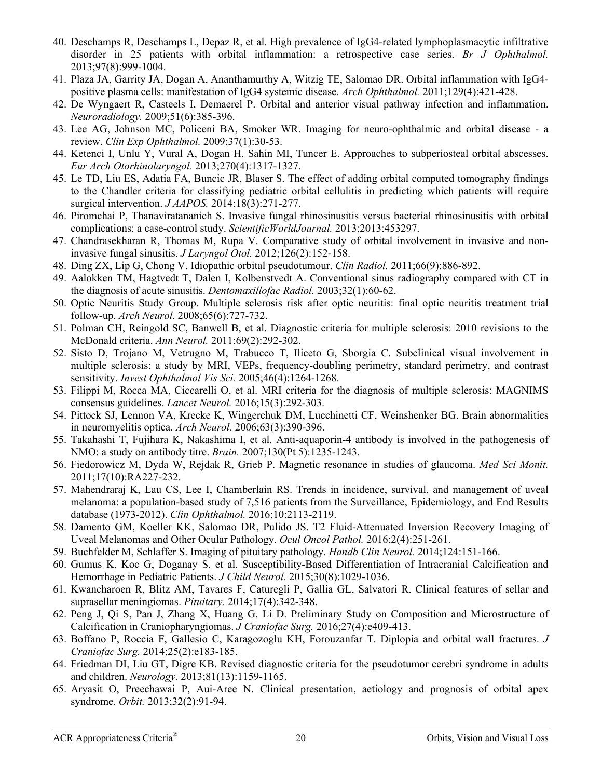- 40. Deschamps R, Deschamps L, Depaz R, et al. High prevalence of IgG4-related lymphoplasmacytic infiltrative disorder in 25 patients with orbital inflammation: a retrospective case series. *Br J Ophthalmol.*  2013;97(8):999-1004.
- 41. Plaza JA, Garrity JA, Dogan A, Ananthamurthy A, Witzig TE, Salomao DR. Orbital inflammation with IgG4 positive plasma cells: manifestation of IgG4 systemic disease. *Arch Ophthalmol.* 2011;129(4):421-428.
- 42. De Wyngaert R, Casteels I, Demaerel P. Orbital and anterior visual pathway infection and inflammation. *Neuroradiology.* 2009;51(6):385-396.
- 43. Lee AG, Johnson MC, Policeni BA, Smoker WR. Imaging for neuro-ophthalmic and orbital disease a review. *Clin Exp Ophthalmol.* 2009;37(1):30-53.
- 44. Ketenci I, Unlu Y, Vural A, Dogan H, Sahin MI, Tuncer E. Approaches to subperiosteal orbital abscesses. *Eur Arch Otorhinolaryngol.* 2013;270(4):1317-1327.
- 45. Le TD, Liu ES, Adatia FA, Buncic JR, Blaser S. The effect of adding orbital computed tomography findings to the Chandler criteria for classifying pediatric orbital cellulitis in predicting which patients will require surgical intervention. *J AAPOS.* 2014;18(3):271-277.
- 46. Piromchai P, Thanaviratananich S. Invasive fungal rhinosinusitis versus bacterial rhinosinusitis with orbital complications: a case-control study. *ScientificWorldJournal.* 2013;2013:453297.
- 47. Chandrasekharan R, Thomas M, Rupa V. Comparative study of orbital involvement in invasive and noninvasive fungal sinusitis. *J Laryngol Otol.* 2012;126(2):152-158.
- 48. Ding ZX, Lip G, Chong V. Idiopathic orbital pseudotumour. *Clin Radiol.* 2011;66(9):886-892.
- 49. Aalokken TM, Hagtvedt T, Dalen I, Kolbenstvedt A. Conventional sinus radiography compared with CT in the diagnosis of acute sinusitis. *Dentomaxillofac Radiol.* 2003;32(1):60-62.
- 50. Optic Neuritis Study Group. Multiple sclerosis risk after optic neuritis: final optic neuritis treatment trial follow-up. *Arch Neurol.* 2008;65(6):727-732.
- 51. Polman CH, Reingold SC, Banwell B, et al. Diagnostic criteria for multiple sclerosis: 2010 revisions to the McDonald criteria. *Ann Neurol.* 2011;69(2):292-302.
- 52. Sisto D, Trojano M, Vetrugno M, Trabucco T, Iliceto G, Sborgia C. Subclinical visual involvement in multiple sclerosis: a study by MRI, VEPs, frequency-doubling perimetry, standard perimetry, and contrast sensitivity. *Invest Ophthalmol Vis Sci.* 2005;46(4):1264-1268.
- 53. Filippi M, Rocca MA, Ciccarelli O, et al. MRI criteria for the diagnosis of multiple sclerosis: MAGNIMS consensus guidelines. *Lancet Neurol.* 2016;15(3):292-303.
- 54. Pittock SJ, Lennon VA, Krecke K, Wingerchuk DM, Lucchinetti CF, Weinshenker BG. Brain abnormalities in neuromyelitis optica. *Arch Neurol.* 2006;63(3):390-396.
- 55. Takahashi T, Fujihara K, Nakashima I, et al. Anti-aquaporin-4 antibody is involved in the pathogenesis of NMO: a study on antibody titre. *Brain.* 2007;130(Pt 5):1235-1243.
- 56. Fiedorowicz M, Dyda W, Rejdak R, Grieb P. Magnetic resonance in studies of glaucoma. *Med Sci Monit.*  2011;17(10):RA227-232.
- 57. Mahendraraj K, Lau CS, Lee I, Chamberlain RS. Trends in incidence, survival, and management of uveal melanoma: a population-based study of 7,516 patients from the Surveillance, Epidemiology, and End Results database (1973-2012). *Clin Ophthalmol.* 2016;10:2113-2119.
- 58. Damento GM, Koeller KK, Salomao DR, Pulido JS. T2 Fluid-Attenuated Inversion Recovery Imaging of Uveal Melanomas and Other Ocular Pathology. *Ocul Oncol Pathol.* 2016;2(4):251-261.
- 59. Buchfelder M, Schlaffer S. Imaging of pituitary pathology. *Handb Clin Neurol.* 2014;124:151-166.
- 60. Gumus K, Koc G, Doganay S, et al. Susceptibility-Based Differentiation of Intracranial Calcification and Hemorrhage in Pediatric Patients. *J Child Neurol.* 2015;30(8):1029-1036.
- 61. Kwancharoen R, Blitz AM, Tavares F, Caturegli P, Gallia GL, Salvatori R. Clinical features of sellar and suprasellar meningiomas. *Pituitary.* 2014;17(4):342-348.
- 62. Peng J, Qi S, Pan J, Zhang X, Huang G, Li D. Preliminary Study on Composition and Microstructure of Calcification in Craniopharyngiomas. *J Craniofac Surg.* 2016;27(4):e409-413.
- 63. Boffano P, Roccia F, Gallesio C, Karagozoglu KH, Forouzanfar T. Diplopia and orbital wall fractures. *J Craniofac Surg.* 2014;25(2):e183-185.
- 64. Friedman DI, Liu GT, Digre KB. Revised diagnostic criteria for the pseudotumor cerebri syndrome in adults and children. *Neurology.* 2013;81(13):1159-1165.
- 65. Aryasit O, Preechawai P, Aui-Aree N. Clinical presentation, aetiology and prognosis of orbital apex syndrome. *Orbit.* 2013;32(2):91-94.